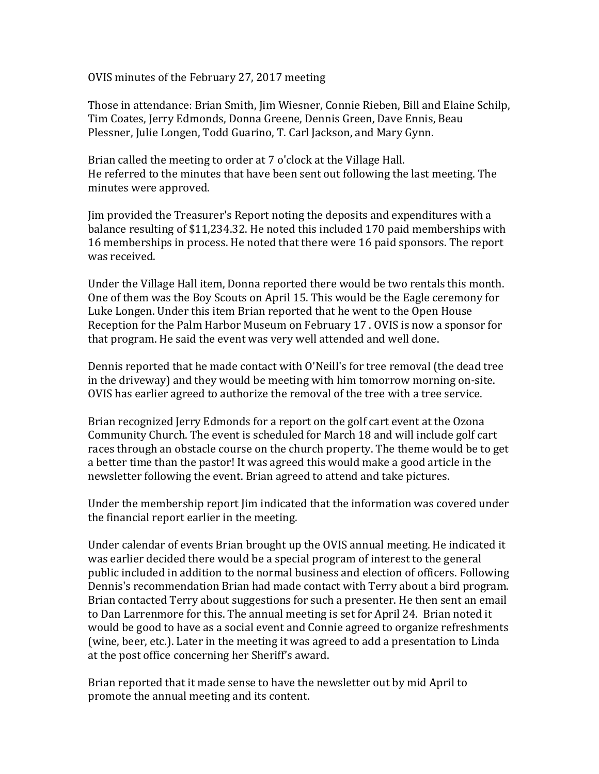OVIS minutes of the February 27, 2017 meeting

Those in attendance: Brian Smith, Jim Wiesner, Connie Rieben, Bill and Elaine Schilp, Tim Coates, Jerry Edmonds, Donna Greene, Dennis Green, Dave Ennis, Beau Plessner, Julie Longen, Todd Guarino, T. Carl Jackson, and Mary Gynn.

Brian called the meeting to order at 7 o'clock at the Village Hall. He referred to the minutes that have been sent out following the last meeting. The minutes were approved.

Jim provided the Treasurer's Report noting the deposits and expenditures with a balance resulting of \$11,234.32. He noted this included 170 paid memberships with 16 memberships in process. He noted that there were 16 paid sponsors. The report was received.

Under the Village Hall item, Donna reported there would be two rentals this month. One of them was the Boy Scouts on April 15. This would be the Eagle ceremony for Luke Longen. Under this item Brian reported that he went to the Open House Reception for the Palm Harbor Museum on February 17 . OVIS is now a sponsor for that program. He said the event was very well attended and well done.

Dennis reported that he made contact with O'Neill's for tree removal (the dead tree in the driveway) and they would be meeting with him tomorrow morning on-site. OVIS has earlier agreed to authorize the removal of the tree with a tree service.

Brian recognized Jerry Edmonds for a report on the golf cart event at the Ozona Community Church. The event is scheduled for March 18 and will include golf cart races through an obstacle course on the church property. The theme would be to get a better time than the pastor! It was agreed this would make a good article in the newsletter following the event. Brian agreed to attend and take pictures.

Under the membership report Jim indicated that the information was covered under the financial report earlier in the meeting.

Under calendar of events Brian brought up the OVIS annual meeting. He indicated it was earlier decided there would be a special program of interest to the general public included in addition to the normal business and election of officers. Following Dennis's recommendation Brian had made contact with Terry about a bird program. Brian contacted Terry about suggestions for such a presenter. He then sent an email to Dan Larrenmore for this. The annual meeting is set for April 24. Brian noted it would be good to have as a social event and Connie agreed to organize refreshments (wine, beer, etc.). Later in the meeting it was agreed to add a presentation to Linda at the post office concerning her Sheriff's award.

Brian reported that it made sense to have the newsletter out by mid April to promote the annual meeting and its content.